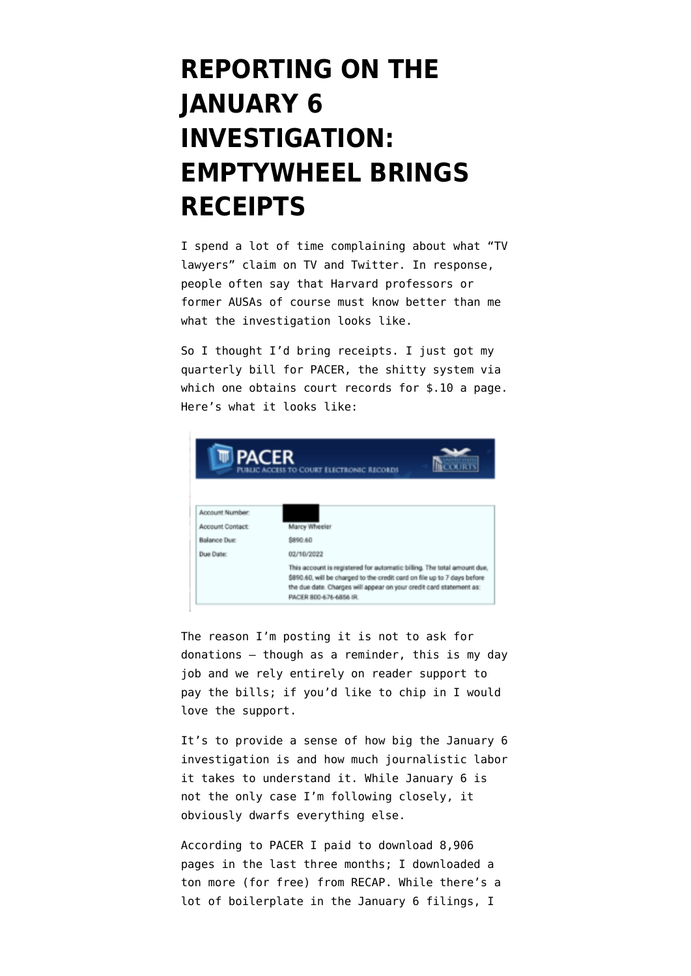## **[REPORTING ON THE](https://www.emptywheel.net/2022/01/18/reporting-on-the-january-6-investigation-emptywheel-brings-receipts/) [JANUARY 6](https://www.emptywheel.net/2022/01/18/reporting-on-the-january-6-investigation-emptywheel-brings-receipts/) [INVESTIGATION:](https://www.emptywheel.net/2022/01/18/reporting-on-the-january-6-investigation-emptywheel-brings-receipts/) [EMPTYWHEEL BRINGS](https://www.emptywheel.net/2022/01/18/reporting-on-the-january-6-investigation-emptywheel-brings-receipts/) [RECEIPTS](https://www.emptywheel.net/2022/01/18/reporting-on-the-january-6-investigation-emptywheel-brings-receipts/)**

I spend a lot of time complaining about what "[TV](https://www.emptywheel.net/2021/12/03/ten-things-tv-lawyers-can-do-rather-than-whinging-about-merrick-garland/) [lawyers"](https://www.emptywheel.net/2021/12/03/ten-things-tv-lawyers-can-do-rather-than-whinging-about-merrick-garland/) claim on TV and Twitter. In response, people often say that Harvard professors or former AUSAs of course must know better than me what the investigation looks like.

So I thought I'd bring receipts. I just got my quarterly bill for PACER, the shitty system via which one obtains court records for \$.10 a page. Here's what it looks like:



The reason I'm posting it is not to ask for donations — though as a reminder, this is my day job and we rely entirely on [reader support](https://www.emptywheel.net/support/) to pay the bills; if you'd like [to chip in](https://www.emptywheel.net/support/) I would love the support.

It's to provide a sense of how big the January 6 investigation is and how much journalistic labor it takes [to understand it.](https://www.emptywheel.net/2022/01/06/january-6-is-unknowable/) While January 6 is not the only case I'm following closely, it obviously dwarfs everything else.

According to PACER I paid to download 8,906 pages in the last three months; I downloaded a ton more (for free) from RECAP. While there's a lot of boilerplate in the January 6 filings, I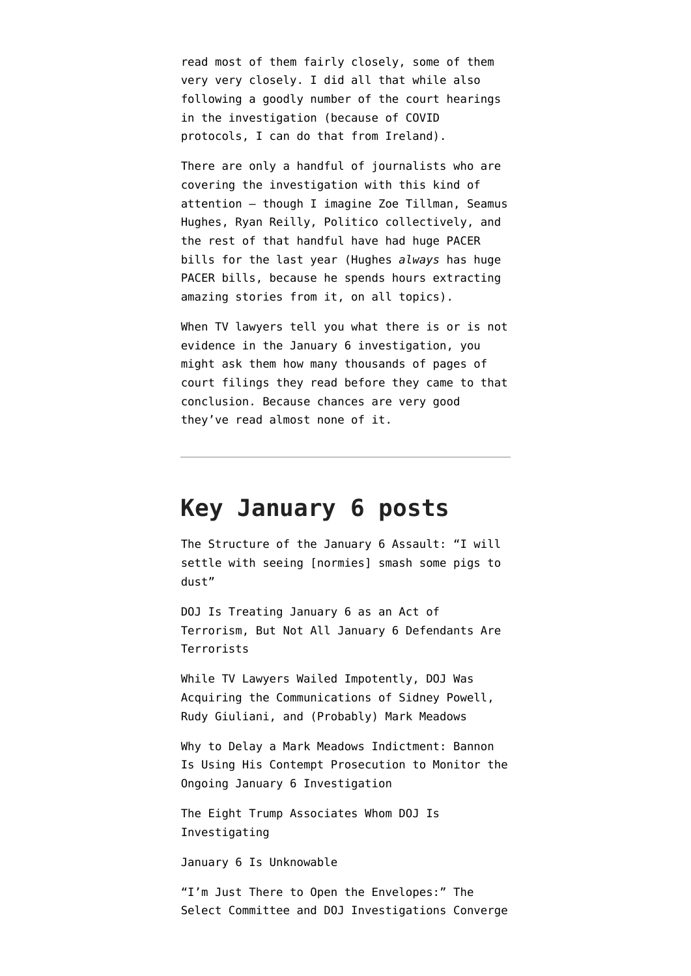read most of them fairly closely, some of them [very very closely.](https://www.emptywheel.net/2022/01/17/the-disappearing-willard-hotel-and-the-accused-seditionists-other-interlocutors/) I did all that while also following a goodly number of the court hearings in the investigation (because of COVID protocols, I can do that from Ireland).

There are only a handful of journalists who are covering the investigation with this kind of attention — though I imagine [Zoe Tillman,](https://www.buzzfeednews.com/article/zoetillman/january-6-prosecution-one-year) [Seamus](https://extremism.gwu.edu/Capitol-Hill-Cases) [Hughes](https://extremism.gwu.edu/Capitol-Hill-Cases), [Ryan Reilly](https://www.huffpost.com/entry/capitol-riot-online-sleuths-raybanterrorist-proud-boys-model_n_61e18c98e4b0d8b6656a4d2e), Politico collectively, and the rest of that handful have had huge PACER bills for the last year (Hughes *always* has huge PACER bills, because he spends hours extracting amazing stories from it, on all topics).

When TV lawyers tell you what there is or is not evidence in the January 6 investigation, you might ask them how many thousands of pages of court filings they read before they came to that conclusion. Because chances are very good they've read almost none of it.

## **Key January 6 posts**

[The Structure of the January 6 Assault: "I will](https://www.emptywheel.net/2022/01/13/the-structure-of-the-january-6-assault-i-will-settle-with-seeing-normies-smash-some-pigs-to-dust/) [settle with seeing \[normies\] smash some pigs to](https://www.emptywheel.net/2022/01/13/the-structure-of-the-january-6-assault-i-will-settle-with-seeing-normies-smash-some-pigs-to-dust/) [dust"](https://www.emptywheel.net/2022/01/13/the-structure-of-the-january-6-assault-i-will-settle-with-seeing-normies-smash-some-pigs-to-dust/)

[DOJ Is Treating January 6 as an Act of](https://www.emptywheel.net/2022/01/09/doj-is-treating-january-6-as-an-act-of-terrorism-but-not-all-january-6-defendants-are-terrorists/) [Terrorism, But Not All January 6 Defendants Are](https://www.emptywheel.net/2022/01/09/doj-is-treating-january-6-as-an-act-of-terrorism-but-not-all-january-6-defendants-are-terrorists/) [Terrorists](https://www.emptywheel.net/2022/01/09/doj-is-treating-january-6-as-an-act-of-terrorism-but-not-all-january-6-defendants-are-terrorists/)

[While TV Lawyers Wailed Impotently, DOJ Was](https://www.emptywheel.net/2022/01/18/reporting-on-the-january-6-investigation-emptywheel-brings-receipts/) [Acquiring the Communications of Sidney Powell,](https://www.emptywheel.net/2022/01/18/reporting-on-the-january-6-investigation-emptywheel-brings-receipts/) [Rudy Giuliani, and \(Probably\) Mark Meadows](https://www.emptywheel.net/2022/01/18/reporting-on-the-january-6-investigation-emptywheel-brings-receipts/)

[Why to Delay a Mark Meadows Indictment: Bannon](https://www.emptywheel.net/2022/02/07/why-to-delay-a-mark-meadows-indictment-bannon-is-using-his-contempt-prosecution-to-monitor-the-ongoing-january-6-investigation/) [Is Using His Contempt Prosecution to Monitor the](https://www.emptywheel.net/2022/02/07/why-to-delay-a-mark-meadows-indictment-bannon-is-using-his-contempt-prosecution-to-monitor-the-ongoing-january-6-investigation/) [Ongoing January 6 Investigation](https://www.emptywheel.net/2022/02/07/why-to-delay-a-mark-meadows-indictment-bannon-is-using-his-contempt-prosecution-to-monitor-the-ongoing-january-6-investigation/)

[The Eight Trump Associates Whom DOJ Is](https://www.emptywheel.net/2022/02/08/the-eight-trump-associates-whom-doj-is-investigating/) [Investigating](https://www.emptywheel.net/2022/02/08/the-eight-trump-associates-whom-doj-is-investigating/)

[January 6 Is Unknowable](https://www.emptywheel.net/2022/01/06/january-6-is-unknowable/)

["I'm Just There to Open the Envelopes:" The](https://www.emptywheel.net/2022/01/05/im-just-there-to-open-the-envelopes-the-select-committee-and-doj-investigations-have-converged-at-mike-pen/) [Select Committee and DOJ Investigations Converge](https://www.emptywheel.net/2022/01/05/im-just-there-to-open-the-envelopes-the-select-committee-and-doj-investigations-have-converged-at-mike-pen/)